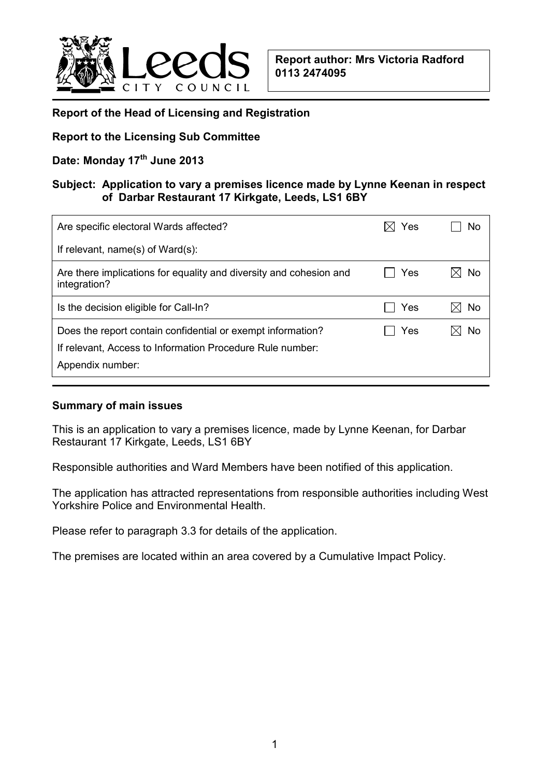

### **Report of the Head of Licensing and Registration**

## **Report to the Licensing Sub Committee**

# **Date: Monday 17th June 2013**

## **Subject: Application to vary a premises licence made by Lynne Keenan in respect of Darbar Restaurant 17 Kirkgate, Leeds, LS1 6BY**

| Are specific electoral Wards affected?                                                                                                       | Yes | No |
|----------------------------------------------------------------------------------------------------------------------------------------------|-----|----|
| If relevant, name(s) of $Ward(s)$ :                                                                                                          |     |    |
| Are there implications for equality and diversity and cohesion and<br>integration?                                                           | Yes | No |
| Is the decision eligible for Call-In?                                                                                                        | Yes | No |
| Does the report contain confidential or exempt information?<br>If relevant, Access to Information Procedure Rule number:<br>Appendix number: | Yes | No |

#### **Summary of main issues**

This is an application to vary a premises licence, made by Lynne Keenan, for Darbar Restaurant 17 Kirkgate, Leeds, LS1 6BY

Responsible authorities and Ward Members have been notified of this application.

The application has attracted representations from responsible authorities including West Yorkshire Police and Environmental Health.

Please refer to paragraph 3.3 for details of the application.

The premises are located within an area covered by a Cumulative Impact Policy.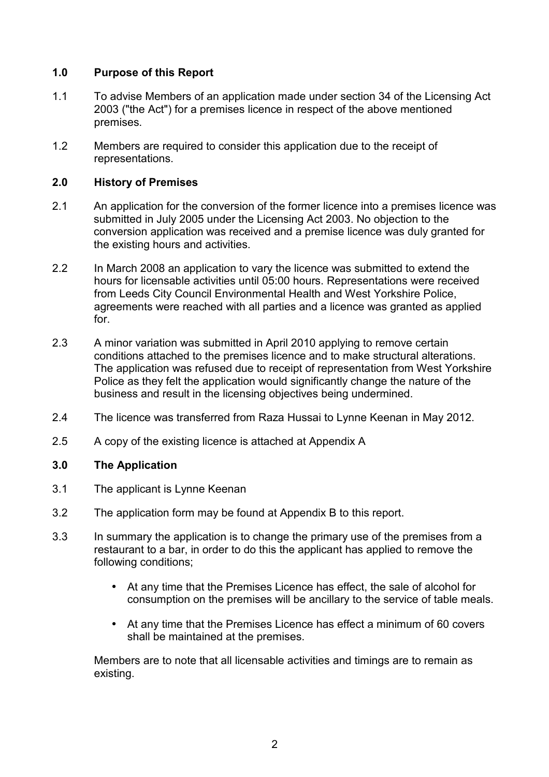# **1.0 Purpose of this Report**

- 1.1 To advise Members of an application made under section 34 of the Licensing Act 2003 ("the Act") for a premises licence in respect of the above mentioned premises.
- 1.2 Members are required to consider this application due to the receipt of representations.

# **2.0 History of Premises**

- 2.1 An application for the conversion of the former licence into a premises licence was submitted in July 2005 under the Licensing Act 2003. No objection to the conversion application was received and a premise licence was duly granted for the existing hours and activities.
- 2.2 In March 2008 an application to vary the licence was submitted to extend the hours for licensable activities until 05:00 hours. Representations were received from Leeds City Council Environmental Health and West Yorkshire Police, agreements were reached with all parties and a licence was granted as applied for.
- 2.3 A minor variation was submitted in April 2010 applying to remove certain conditions attached to the premises licence and to make structural alterations. The application was refused due to receipt of representation from West Yorkshire Police as they felt the application would significantly change the nature of the business and result in the licensing objectives being undermined.
- 2.4 The licence was transferred from Raza Hussai to Lynne Keenan in May 2012.
- 2.5 A copy of the existing licence is attached at Appendix A

# **3.0 The Application**

- 3.1 The applicant is Lynne Keenan
- 3.2 The application form may be found at Appendix B to this report.
- 3.3 In summary the application is to change the primary use of the premises from a restaurant to a bar, in order to do this the applicant has applied to remove the following conditions;
	- At any time that the Premises Licence has effect, the sale of alcohol for consumption on the premises will be ancillary to the service of table meals.
	- At any time that the Premises Licence has effect a minimum of 60 covers shall be maintained at the premises.

 Members are to note that all licensable activities and timings are to remain as existing.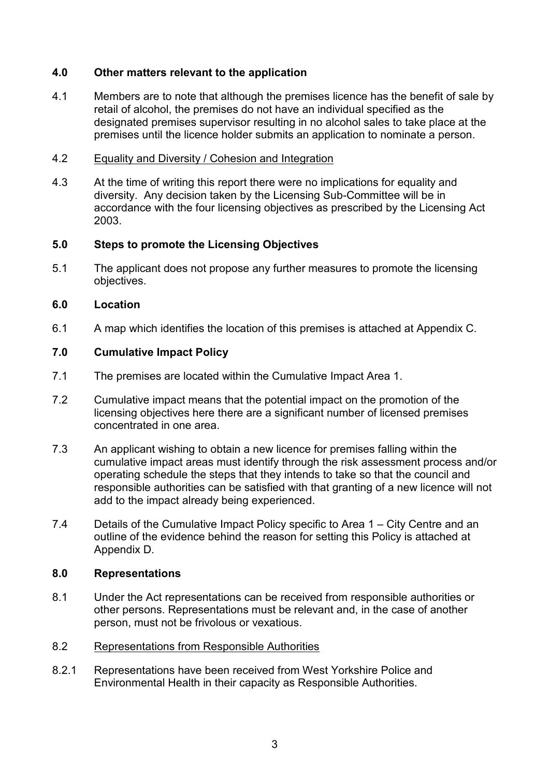# **4.0 Other matters relevant to the application**

4.1 Members are to note that although the premises licence has the benefit of sale by retail of alcohol, the premises do not have an individual specified as the designated premises supervisor resulting in no alcohol sales to take place at the premises until the licence holder submits an application to nominate a person.

#### 4.2 Equality and Diversity / Cohesion and Integration

4.3 At the time of writing this report there were no implications for equality and diversity. Any decision taken by the Licensing Sub-Committee will be in accordance with the four licensing objectives as prescribed by the Licensing Act 2003.

#### **5.0 Steps to promote the Licensing Objectives**

5.1 The applicant does not propose any further measures to promote the licensing objectives.

## **6.0 Location**

6.1 A map which identifies the location of this premises is attached at Appendix C.

## **7.0 Cumulative Impact Policy**

- 7.1 The premises are located within the Cumulative Impact Area 1.
- 7.2 Cumulative impact means that the potential impact on the promotion of the licensing objectives here there are a significant number of licensed premises concentrated in one area.
- 7.3 An applicant wishing to obtain a new licence for premises falling within the cumulative impact areas must identify through the risk assessment process and/or operating schedule the steps that they intends to take so that the council and responsible authorities can be satisfied with that granting of a new licence will not add to the impact already being experienced.
- 7.4 Details of the Cumulative Impact Policy specific to Area 1 City Centre and an outline of the evidence behind the reason for setting this Policy is attached at Appendix D.

#### **8.0 Representations**

8.1 Under the Act representations can be received from responsible authorities or other persons. Representations must be relevant and, in the case of another person, must not be frivolous or vexatious.

#### 8.2 Representations from Responsible Authorities

8.2.1 Representations have been received from West Yorkshire Police and Environmental Health in their capacity as Responsible Authorities.